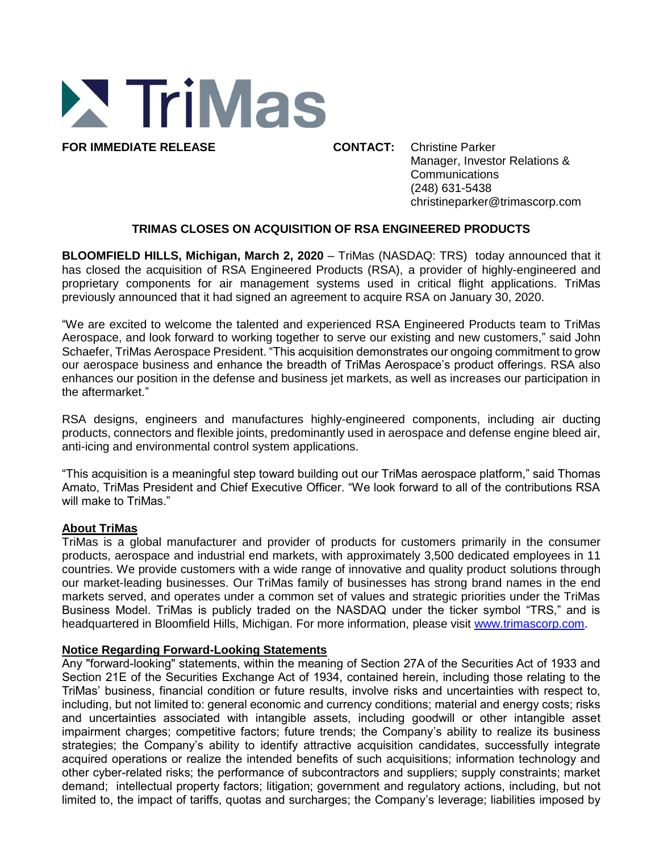

**FOR IMMEDIATE RELEASE CONTACT:** Christine Parker Manager, Investor Relations & **Communications** (248) 631-5438 christineparker@trimascorp.com

## **TRIMAS CLOSES ON ACQUISITION OF RSA ENGINEERED PRODUCTS**

**BLOOMFIELD HILLS, Michigan, March 2, 2020** – TriMas (NASDAQ: TRS) today announced that it has closed the acquisition of RSA Engineered Products (RSA), a provider of highly-engineered and proprietary components for air management systems used in critical flight applications. TriMas previously announced that it had signed an agreement to acquire RSA on January 30, 2020.

"We are excited to welcome the talented and experienced RSA Engineered Products team to TriMas Aerospace, and look forward to working together to serve our existing and new customers," said John Schaefer, TriMas Aerospace President. "This acquisition demonstrates our ongoing commitment to grow our aerospace business and enhance the breadth of TriMas Aerospace's product offerings. RSA also enhances our position in the defense and business jet markets, as well as increases our participation in the aftermarket."

RSA designs, engineers and manufactures highly-engineered components, including air ducting products, connectors and flexible joints, predominantly used in aerospace and defense engine bleed air, anti-icing and environmental control system applications.

"This acquisition is a meaningful step toward building out our TriMas aerospace platform," said Thomas Amato, TriMas President and Chief Executive Officer. "We look forward to all of the contributions RSA will make to TriMas."

## **About TriMas**

TriMas is a global manufacturer and provider of products for customers primarily in the consumer products, aerospace and industrial end markets, with approximately 3,500 dedicated employees in 11 countries. We provide customers with a wide range of innovative and quality product solutions through our market-leading businesses. Our TriMas family of businesses has strong brand names in the end markets served, and operates under a common set of values and strategic priorities under the TriMas Business Model. TriMas is publicly traded on the NASDAQ under the ticker symbol "TRS," and is headquartered in Bloomfield Hills, Michigan. For more information, please visit www.trimascorp.com.

## **Notice Regarding Forward-Looking Statements**

Any "forward-looking" statements, within the meaning of Section 27A of the Securities Act of 1933 and Section 21E of the Securities Exchange Act of 1934, contained herein, including those relating to the TriMas' business, financial condition or future results, involve risks and uncertainties with respect to, including, but not limited to: general economic and currency conditions; material and energy costs; risks and uncertainties associated with intangible assets, including goodwill or other intangible asset impairment charges; competitive factors; future trends; the Company's ability to realize its business strategies; the Company's ability to identify attractive acquisition candidates, successfully integrate acquired operations or realize the intended benefits of such acquisitions; information technology and other cyber-related risks; the performance of subcontractors and suppliers; supply constraints; market demand; intellectual property factors; litigation; government and regulatory actions, including, but not limited to, the impact of tariffs, quotas and surcharges; the Company's leverage; liabilities imposed by